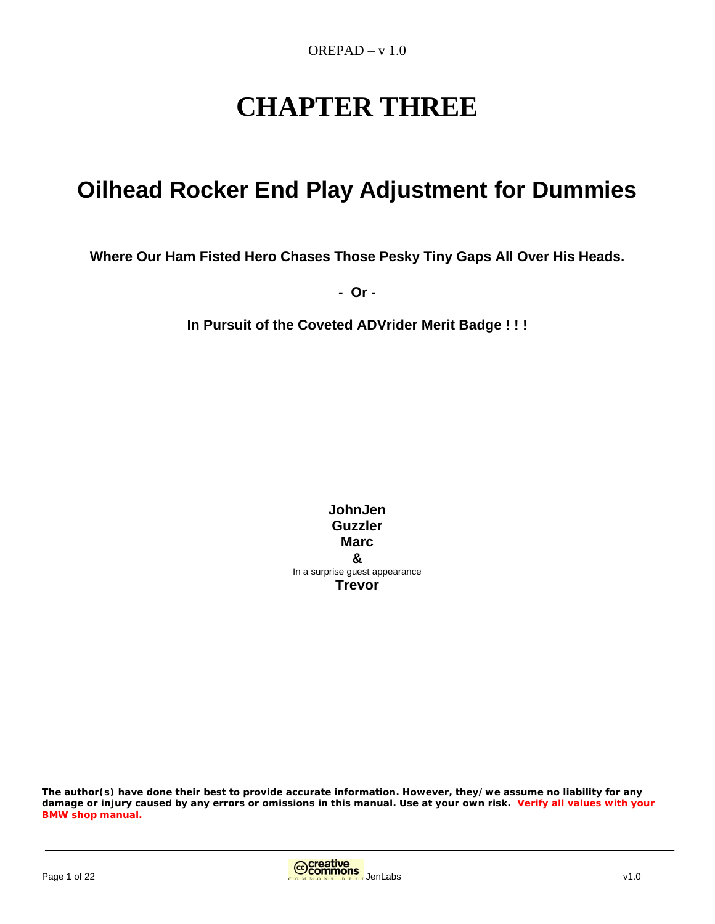# **CHAPTER THREE**

# **Oilhead Rocker End Play Adjustment for Dummies**

**Where Our Ham Fisted Hero Chases Those Pesky Tiny Gaps All Over His Heads.** 

**- Or -** 

**In Pursuit of the Coveted ADVrider Merit Badge ! ! !** 

**JohnJen Guzzler Marc &**  In a surprise guest appearance **Trevor**

**The author(s) have done their best to provide accurate information. However, they/we assume no liability for any damage or injury caused by any errors or omissions in this manual. Use at your own risk. Verify all values with your BMW shop manual.**

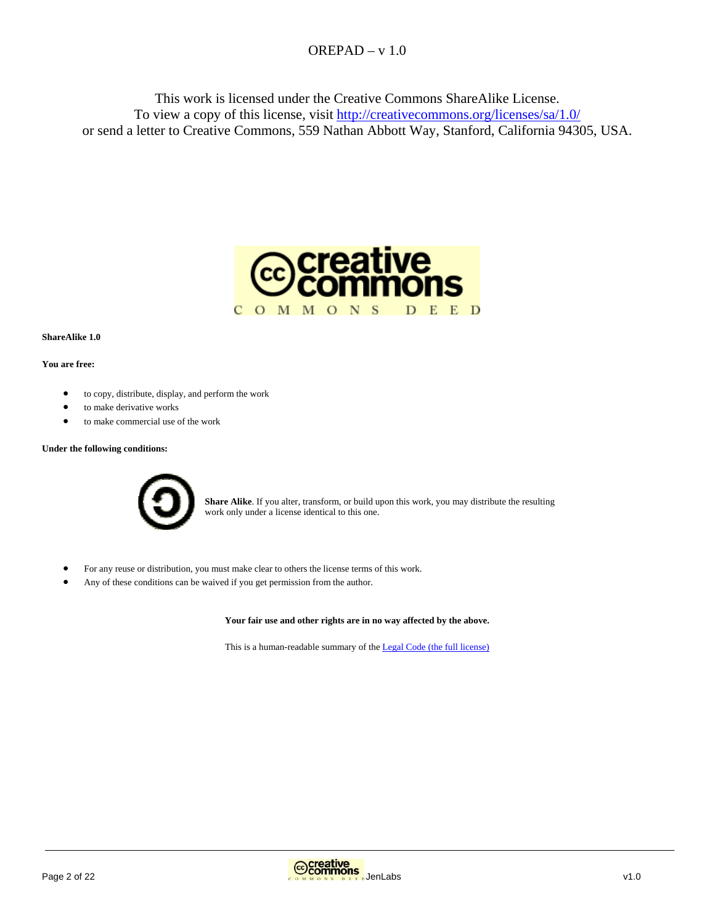This work is licensed under the Creative Commons ShareAlike License. To view a copy of this license, visit http://creativecommons.org/licenses/sa/1.0/ or send a letter to Creative Commons, 559 Nathan Abbott Way, Stanford, California 94305, USA.



#### **ShareAlike 1.0**

#### **You are free:**

- to copy, distribute, display, and perform the work
- to make derivative works
- to make commercial use of the work

#### **Under the following conditions:**



**Share Alike**. If you alter, transform, or build upon this work, you may distribute the resulting work only under a license identical to this one.

- For any reuse or distribution, you must make clear to others the license terms of this work.
- Any of these conditions can be waived if you get permission from the author.

**Your fair use and other rights are in no way affected by the above.**

This is a human-readable summary of the Legal Code (the full license)

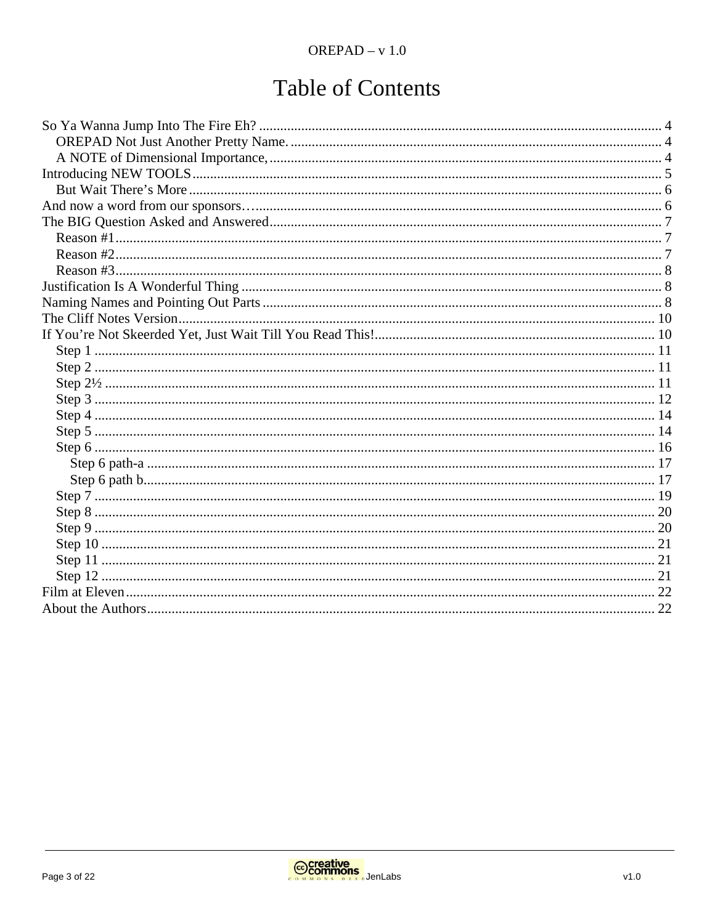# **Table of Contents**

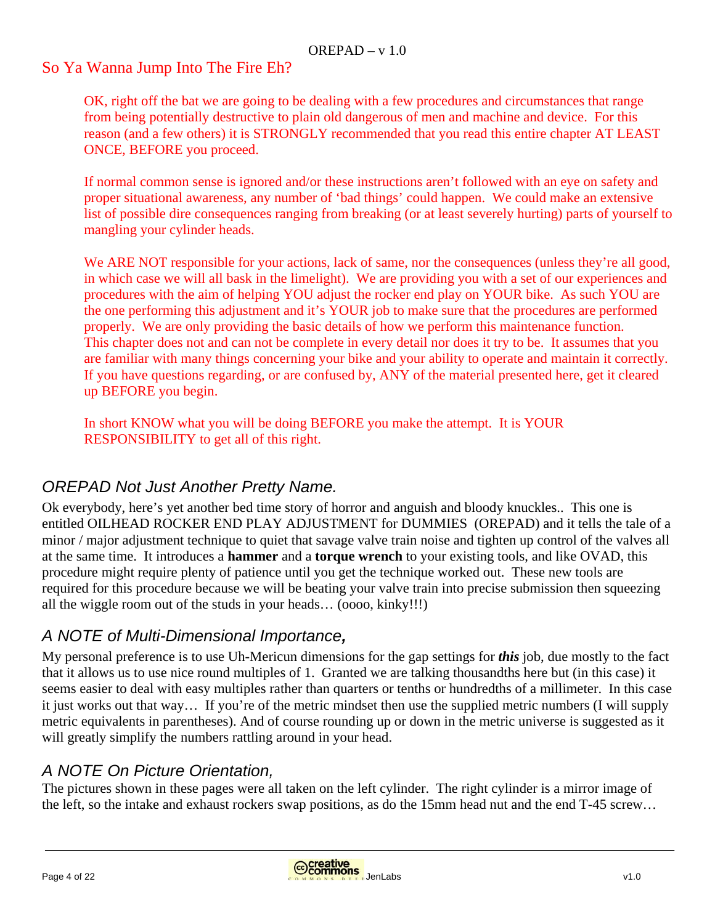#### So Ya Wanna Jump Into The Fire Eh?

OK, right off the bat we are going to be dealing with a few procedures and circumstances that range from being potentially destructive to plain old dangerous of men and machine and device. For this reason (and a few others) it is STRONGLY recommended that you read this entire chapter AT LEAST ONCE, BEFORE you proceed.

If normal common sense is ignored and/or these instructions aren't followed with an eye on safety and proper situational awareness, any number of 'bad things' could happen. We could make an extensive list of possible dire consequences ranging from breaking (or at least severely hurting) parts of yourself to mangling your cylinder heads.

We ARE NOT responsible for your actions, lack of same, nor the consequences (unless they're all good, in which case we will all bask in the limelight). We are providing you with a set of our experiences and procedures with the aim of helping YOU adjust the rocker end play on YOUR bike. As such YOU are the one performing this adjustment and it's YOUR job to make sure that the procedures are performed properly. We are only providing the basic details of how we perform this maintenance function. This chapter does not and can not be complete in every detail nor does it try to be. It assumes that you are familiar with many things concerning your bike and your ability to operate and maintain it correctly. If you have questions regarding, or are confused by, ANY of the material presented here, get it cleared up BEFORE you begin.

In short KNOW what you will be doing BEFORE you make the attempt. It is YOUR RESPONSIBILITY to get all of this right.

# *OREPAD Not Just Another Pretty Name.*

Ok everybody, here's yet another bed time story of horror and anguish and bloody knuckles.. This one is entitled OILHEAD ROCKER END PLAY ADJUSTMENT for DUMMIES (OREPAD) and it tells the tale of a minor / major adjustment technique to quiet that savage valve train noise and tighten up control of the valves all at the same time. It introduces a **hammer** and a **torque wrench** to your existing tools, and like OVAD, this procedure might require plenty of patience until you get the technique worked out. These new tools are required for this procedure because we will be beating your valve train into precise submission then squeezing all the wiggle room out of the studs in your heads… (oooo, kinky!!!)

## *A NOTE of Multi-Dimensional Importance,*

My personal preference is to use Uh-Mericun dimensions for the gap settings for *this* job, due mostly to the fact that it allows us to use nice round multiples of 1. Granted we are talking thousandths here but (in this case) it seems easier to deal with easy multiples rather than quarters or tenths or hundredths of a millimeter. In this case it just works out that way… If you're of the metric mindset then use the supplied metric numbers (I will supply metric equivalents in parentheses). And of course rounding up or down in the metric universe is suggested as it will greatly simplify the numbers rattling around in your head.

## *A NOTE On Picture Orientation,*

The pictures shown in these pages were all taken on the left cylinder. The right cylinder is a mirror image of the left, so the intake and exhaust rockers swap positions, as do the 15mm head nut and the end T-45 screw…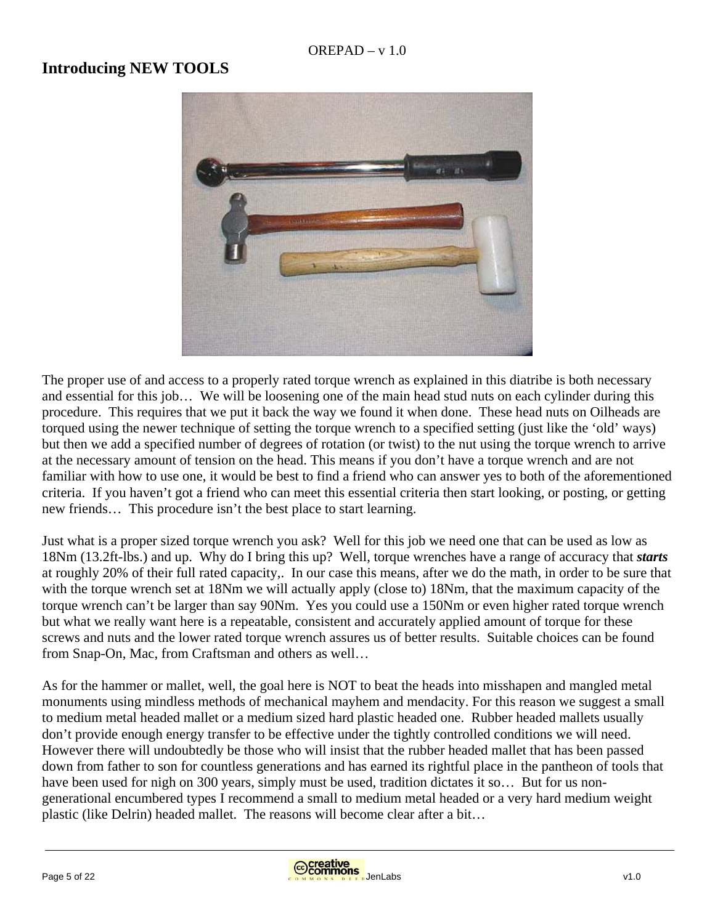#### **Introducing NEW TOOLS**



The proper use of and access to a properly rated torque wrench as explained in this diatribe is both necessary and essential for this job… We will be loosening one of the main head stud nuts on each cylinder during this procedure. This requires that we put it back the way we found it when done. These head nuts on Oilheads are torqued using the newer technique of setting the torque wrench to a specified setting (just like the 'old' ways) but then we add a specified number of degrees of rotation (or twist) to the nut using the torque wrench to arrive at the necessary amount of tension on the head. This means if you don't have a torque wrench and are not familiar with how to use one, it would be best to find a friend who can answer yes to both of the aforementioned criteria. If you haven't got a friend who can meet this essential criteria then start looking, or posting, or getting new friends… This procedure isn't the best place to start learning.

Just what is a proper sized torque wrench you ask? Well for this job we need one that can be used as low as 18Nm (13.2ft-lbs.) and up. Why do I bring this up? Well, torque wrenches have a range of accuracy that *starts* at roughly 20% of their full rated capacity,. In our case this means, after we do the math, in order to be sure that with the torque wrench set at 18Nm we will actually apply (close to) 18Nm, that the maximum capacity of the torque wrench can't be larger than say 90Nm. Yes you could use a 150Nm or even higher rated torque wrench but what we really want here is a repeatable, consistent and accurately applied amount of torque for these screws and nuts and the lower rated torque wrench assures us of better results. Suitable choices can be found from Snap-On, Mac, from Craftsman and others as well…

As for the hammer or mallet, well, the goal here is NOT to beat the heads into misshapen and mangled metal monuments using mindless methods of mechanical mayhem and mendacity. For this reason we suggest a small to medium metal headed mallet or a medium sized hard plastic headed one. Rubber headed mallets usually don't provide enough energy transfer to be effective under the tightly controlled conditions we will need. However there will undoubtedly be those who will insist that the rubber headed mallet that has been passed down from father to son for countless generations and has earned its rightful place in the pantheon of tools that have been used for nigh on 300 years, simply must be used, tradition dictates it so... But for us nongenerational encumbered types I recommend a small to medium metal headed or a very hard medium weight plastic (like Delrin) headed mallet. The reasons will become clear after a bit…



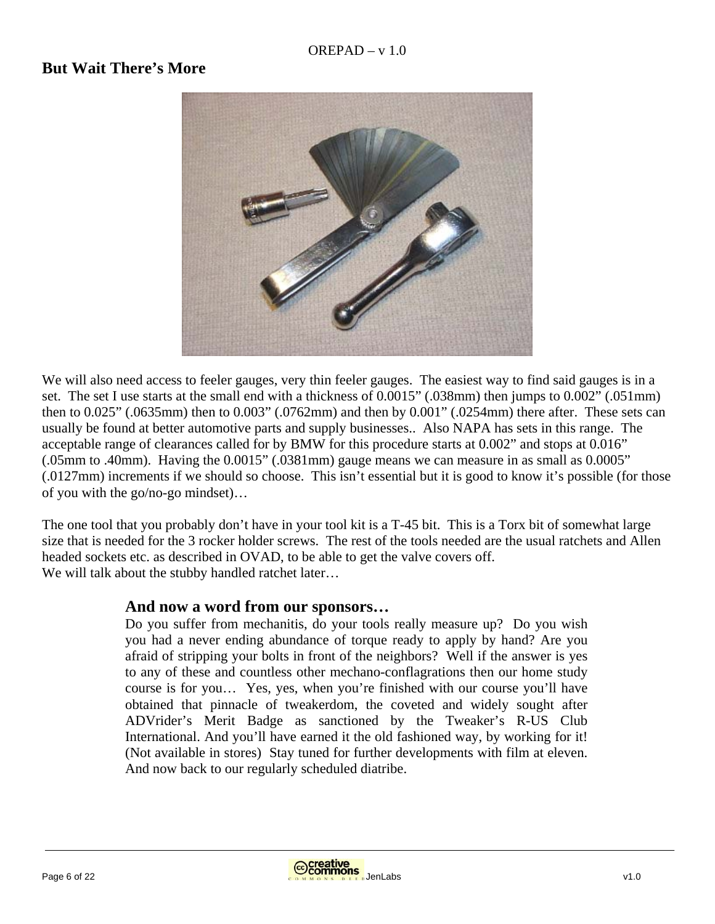#### **But Wait There's More**



We will also need access to feeler gauges, very thin feeler gauges. The easiest way to find said gauges is in a set. The set I use starts at the small end with a thickness of 0.0015" (.038mm) then jumps to 0.002" (.051mm) then to 0.025" (.0635mm) then to 0.003" (.0762mm) and then by 0.001" (.0254mm) there after. These sets can usually be found at better automotive parts and supply businesses.. Also NAPA has sets in this range. The acceptable range of clearances called for by BMW for this procedure starts at 0.002" and stops at 0.016" (.05mm to .40mm). Having the 0.0015" (.0381mm) gauge means we can measure in as small as 0.0005" (.0127mm) increments if we should so choose. This isn't essential but it is good to know it's possible (for those of you with the go/no-go mindset)…

The one tool that you probably don't have in your tool kit is a T-45 bit. This is a Torx bit of somewhat large size that is needed for the 3 rocker holder screws. The rest of the tools needed are the usual ratchets and Allen headed sockets etc. as described in OVAD, to be able to get the valve covers off. We will talk about the stubby handled ratchet later…

#### **And now a word from our sponsors…**

Do you suffer from mechanitis, do your tools really measure up? Do you wish you had a never ending abundance of torque ready to apply by hand? Are you afraid of stripping your bolts in front of the neighbors? Well if the answer is yes to any of these and countless other mechano-conflagrations then our home study course is for you… Yes, yes, when you're finished with our course you'll have obtained that pinnacle of tweakerdom, the coveted and widely sought after ADVrider's Merit Badge as sanctioned by the Tweaker's R-US Club International. And you'll have earned it the old fashioned way, by working for it! (Not available in stores) Stay tuned for further developments with film at eleven. And now back to our regularly scheduled diatribe.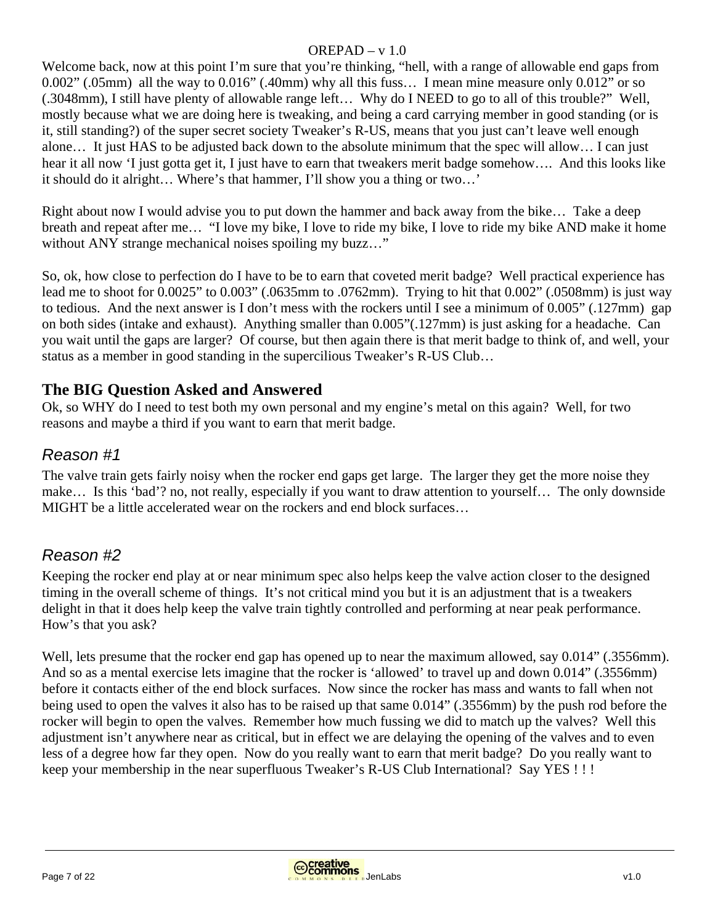Welcome back, now at this point I'm sure that you're thinking, "hell, with a range of allowable end gaps from 0.002" (.05mm) all the way to 0.016" (.40mm) why all this fuss… I mean mine measure only 0.012" or so (.3048mm), I still have plenty of allowable range left… Why do I NEED to go to all of this trouble?" Well, mostly because what we are doing here is tweaking, and being a card carrying member in good standing (or is it, still standing?) of the super secret society Tweaker's R-US, means that you just can't leave well enough alone… It just HAS to be adjusted back down to the absolute minimum that the spec will allow… I can just hear it all now 'I just gotta get it. I just have to earn that tweakers merit badge somehow.... And this looks like it should do it alright… Where's that hammer, I'll show you a thing or two…'

Right about now I would advise you to put down the hammer and back away from the bike… Take a deep breath and repeat after me… "I love my bike, I love to ride my bike, I love to ride my bike AND make it home without ANY strange mechanical noises spoiling my buzz..."

So, ok, how close to perfection do I have to be to earn that coveted merit badge? Well practical experience has lead me to shoot for 0.0025" to 0.003" (.0635mm to .0762mm). Trying to hit that 0.002" (.0508mm) is just way to tedious. And the next answer is I don't mess with the rockers until I see a minimum of 0.005" (.127mm) gap on both sides (intake and exhaust). Anything smaller than 0.005"(.127mm) is just asking for a headache. Can you wait until the gaps are larger? Of course, but then again there is that merit badge to think of, and well, your status as a member in good standing in the supercilious Tweaker's R-US Club…

# **The BIG Question Asked and Answered**

Ok, so WHY do I need to test both my own personal and my engine's metal on this again? Well, for two reasons and maybe a third if you want to earn that merit badge.

# *Reason #1*

The valve train gets fairly noisy when the rocker end gaps get large. The larger they get the more noise they make… Is this 'bad'? no, not really, especially if you want to draw attention to yourself… The only downside MIGHT be a little accelerated wear on the rockers and end block surfaces…

# *Reason #2*

Keeping the rocker end play at or near minimum spec also helps keep the valve action closer to the designed timing in the overall scheme of things. It's not critical mind you but it is an adjustment that is a tweakers delight in that it does help keep the valve train tightly controlled and performing at near peak performance. How's that you ask?

Well, lets presume that the rocker end gap has opened up to near the maximum allowed, say 0.014" (.3556mm). And so as a mental exercise lets imagine that the rocker is 'allowed' to travel up and down 0.014" (.3556mm) before it contacts either of the end block surfaces. Now since the rocker has mass and wants to fall when not being used to open the valves it also has to be raised up that same 0.014" (.3556mm) by the push rod before the rocker will begin to open the valves. Remember how much fussing we did to match up the valves? Well this adjustment isn't anywhere near as critical, but in effect we are delaying the opening of the valves and to even less of a degree how far they open. Now do you really want to earn that merit badge? Do you really want to keep your membership in the near superfluous Tweaker's R-US Club International? Say YES ! ! !



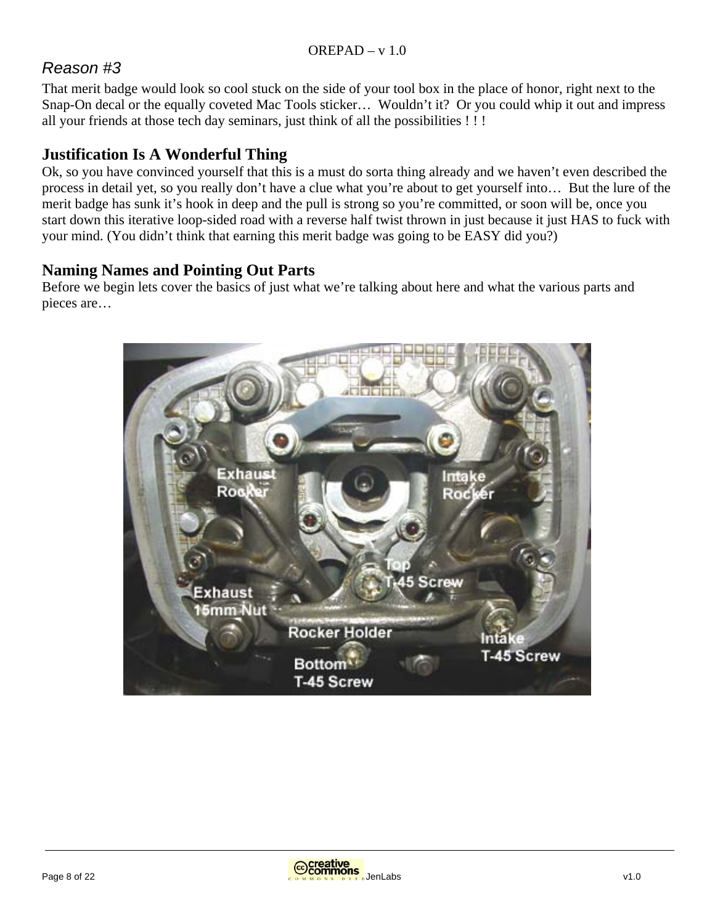# *Reason #3*

That merit badge would look so cool stuck on the side of your tool box in the place of honor, right next to the Snap-On decal or the equally coveted Mac Tools sticker… Wouldn't it? Or you could whip it out and impress all your friends at those tech day seminars, just think of all the possibilities ! ! !

# **Justification Is A Wonderful Thing**

Ok, so you have convinced yourself that this is a must do sorta thing already and we haven't even described the process in detail yet, so you really don't have a clue what you're about to get yourself into… But the lure of the merit badge has sunk it's hook in deep and the pull is strong so you're committed, or soon will be, once you start down this iterative loop-sided road with a reverse half twist thrown in just because it just HAS to fuck with your mind. (You didn't think that earning this merit badge was going to be EASY did you?)

# **Naming Names and Pointing Out Parts**

Before we begin lets cover the basics of just what we're talking about here and what the various parts and pieces are…



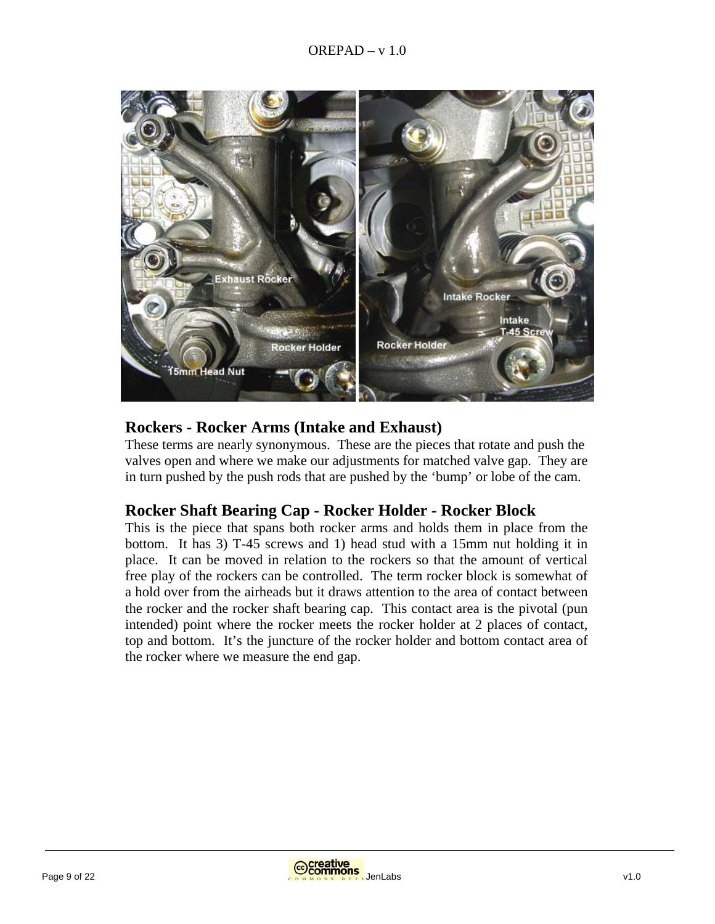

#### **Rockers - Rocker Arms (Intake and Exhaust)**

These terms are nearly synonymous. These are the pieces that rotate and push the valves open and where we make our adjustments for matched valve gap. They are in turn pushed by the push rods that are pushed by the 'bump' or lobe of the cam.

#### **Rocker Shaft Bearing Cap - Rocker Holder - Rocker Block**

This is the piece that spans both rocker arms and holds them in place from the bottom. It has 3) T-45 screws and 1) head stud with a 15mm nut holding it in place. It can be moved in relation to the rockers so that the amount of vertical free play of the rockers can be controlled. The term rocker block is somewhat of a hold over from the airheads but it draws attention to the area of contact between the rocker and the rocker shaft bearing cap. This contact area is the pivotal (pun intended) point where the rocker meets the rocker holder at 2 places of contact, top and bottom. It's the juncture of the rocker holder and bottom contact area of the rocker where we measure the end gap.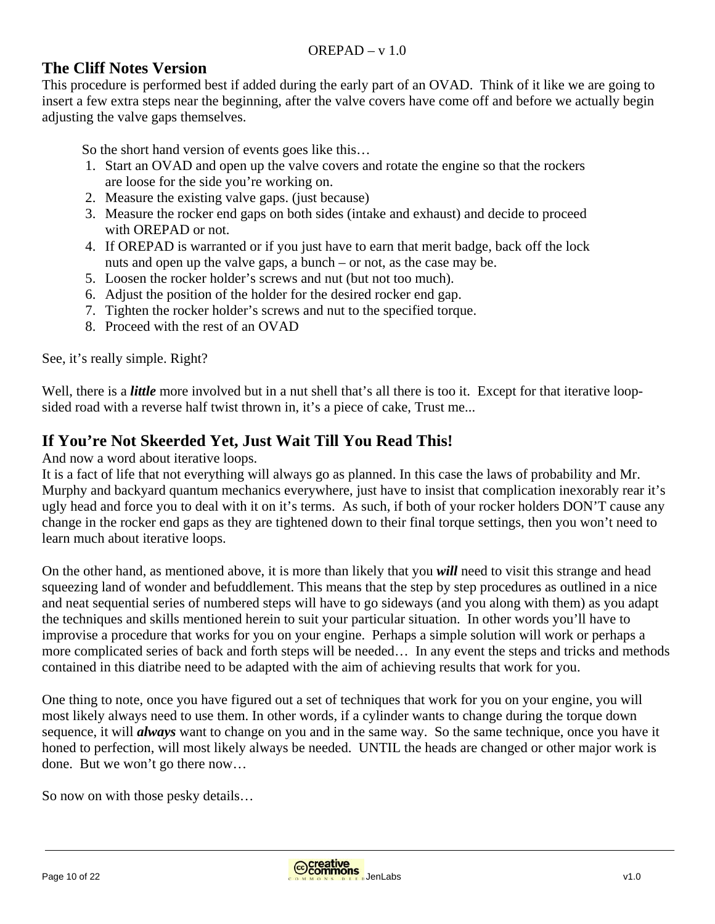#### **The Cliff Notes Version**

This procedure is performed best if added during the early part of an OVAD. Think of it like we are going to insert a few extra steps near the beginning, after the valve covers have come off and before we actually begin adjusting the valve gaps themselves.

So the short hand version of events goes like this…

- 1. Start an OVAD and open up the valve covers and rotate the engine so that the rockers are loose for the side you're working on.
- 2. Measure the existing valve gaps. (just because)
- 3. Measure the rocker end gaps on both sides (intake and exhaust) and decide to proceed with OREPAD or not.
- 4. If OREPAD is warranted or if you just have to earn that merit badge, back off the lock nuts and open up the valve gaps, a bunch – or not, as the case may be.
- 5. Loosen the rocker holder's screws and nut (but not too much).
- 6. Adjust the position of the holder for the desired rocker end gap.
- 7. Tighten the rocker holder's screws and nut to the specified torque.
- 8. Proceed with the rest of an OVAD

See, it's really simple. Right?

Well, there is a *little* more involved but in a nut shell that's all there is too it. Except for that iterative loopsided road with a reverse half twist thrown in, it's a piece of cake, Trust me...

## **If You're Not Skeerded Yet, Just Wait Till You Read This!**

And now a word about iterative loops.

It is a fact of life that not everything will always go as planned. In this case the laws of probability and Mr. Murphy and backyard quantum mechanics everywhere, just have to insist that complication inexorably rear it's ugly head and force you to deal with it on it's terms. As such, if both of your rocker holders DON'T cause any change in the rocker end gaps as they are tightened down to their final torque settings, then you won't need to learn much about iterative loops.

On the other hand, as mentioned above, it is more than likely that you *will* need to visit this strange and head squeezing land of wonder and befuddlement. This means that the step by step procedures as outlined in a nice and neat sequential series of numbered steps will have to go sideways (and you along with them) as you adapt the techniques and skills mentioned herein to suit your particular situation. In other words you'll have to improvise a procedure that works for you on your engine. Perhaps a simple solution will work or perhaps a more complicated series of back and forth steps will be needed… In any event the steps and tricks and methods contained in this diatribe need to be adapted with the aim of achieving results that work for you.

One thing to note, once you have figured out a set of techniques that work for you on your engine, you will most likely always need to use them. In other words, if a cylinder wants to change during the torque down sequence, it will *always* want to change on you and in the same way. So the same technique, once you have it honed to perfection, will most likely always be needed. UNTIL the heads are changed or other major work is done. But we won't go there now…

So now on with those pesky details…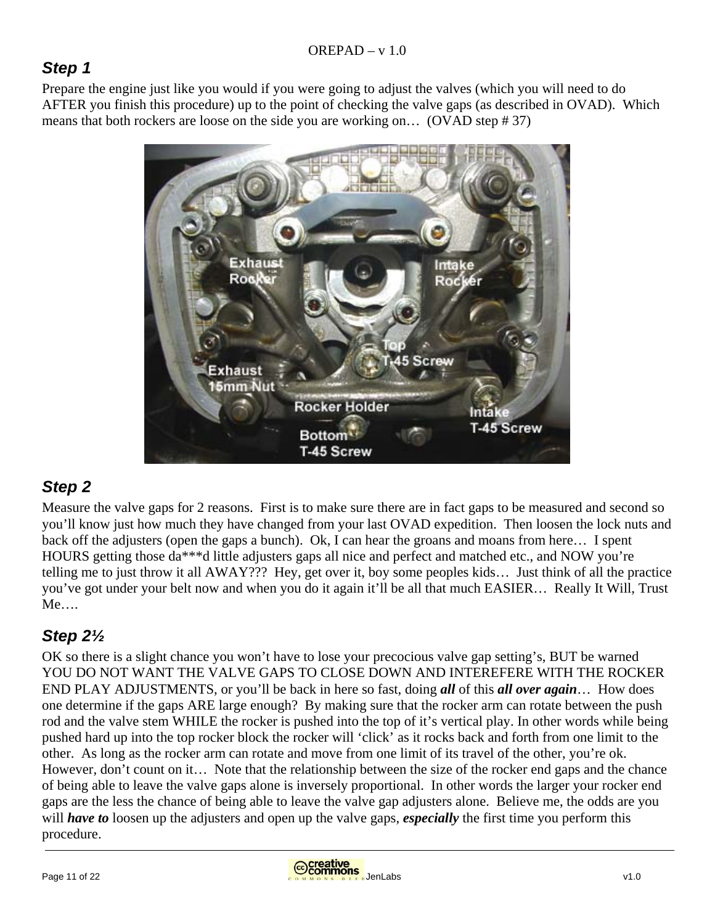# *Step 1*

Prepare the engine just like you would if you were going to adjust the valves (which you will need to do AFTER you finish this procedure) up to the point of checking the valve gaps (as described in OVAD). Which means that both rockers are loose on the side you are working on… (OVAD step # 37)



# *Step 2*

Measure the valve gaps for 2 reasons. First is to make sure there are in fact gaps to be measured and second so you'll know just how much they have changed from your last OVAD expedition. Then loosen the lock nuts and back off the adjusters (open the gaps a bunch). Ok, I can hear the groans and moans from here… I spent HOURS getting those da\*\*\*d little adjusters gaps all nice and perfect and matched etc., and NOW you're telling me to just throw it all AWAY??? Hey, get over it, boy some peoples kids… Just think of all the practice you've got under your belt now and when you do it again it'll be all that much EASIER… Really It Will, Trust Me….

# *Step 2½*

OK so there is a slight chance you won't have to lose your precocious valve gap setting's, BUT be warned YOU DO NOT WANT THE VALVE GAPS TO CLOSE DOWN AND INTEREFERE WITH THE ROCKER END PLAY ADJUSTMENTS, or you'll be back in here so fast, doing *all* of this *all over again*… How does one determine if the gaps ARE large enough? By making sure that the rocker arm can rotate between the push rod and the valve stem WHILE the rocker is pushed into the top of it's vertical play. In other words while being pushed hard up into the top rocker block the rocker will 'click' as it rocks back and forth from one limit to the other. As long as the rocker arm can rotate and move from one limit of its travel of the other, you're ok. However, don't count on it… Note that the relationship between the size of the rocker end gaps and the chance of being able to leave the valve gaps alone is inversely proportional. In other words the larger your rocker end gaps are the less the chance of being able to leave the valve gap adjusters alone. Believe me, the odds are you will *have to* loosen up the adjusters and open up the valve gaps, *especially* the first time you perform this procedure.

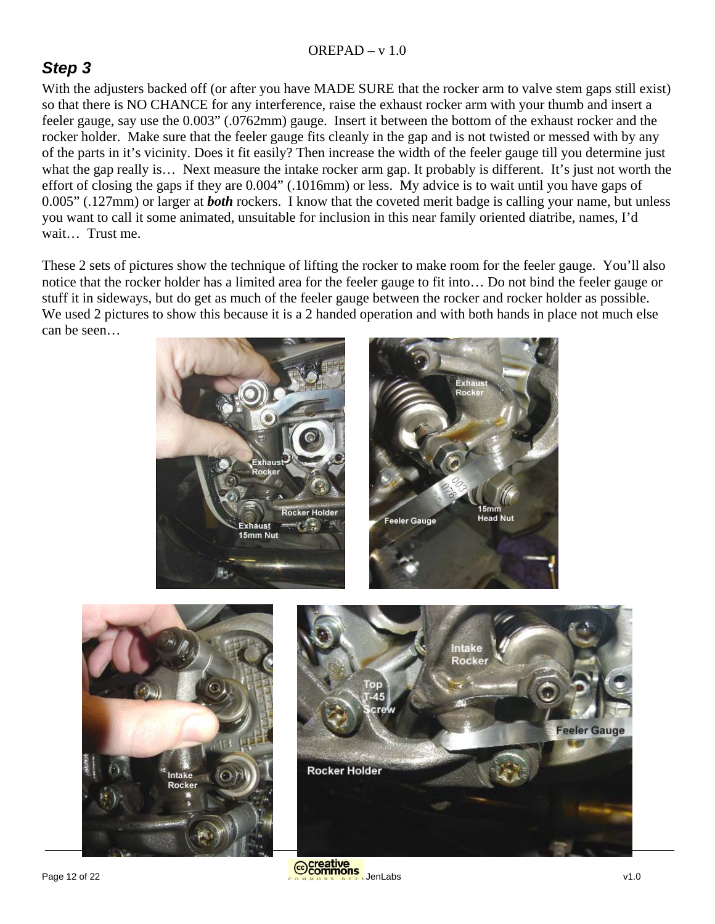# *Step 3*

With the adjusters backed off (or after you have MADE SURE that the rocker arm to valve stem gaps still exist) so that there is NO CHANCE for any interference, raise the exhaust rocker arm with your thumb and insert a feeler gauge, say use the 0.003" (.0762mm) gauge. Insert it between the bottom of the exhaust rocker and the rocker holder. Make sure that the feeler gauge fits cleanly in the gap and is not twisted or messed with by any of the parts in it's vicinity. Does it fit easily? Then increase the width of the feeler gauge till you determine just what the gap really is... Next measure the intake rocker arm gap. It probably is different. It's just not worth the effort of closing the gaps if they are 0.004" (.1016mm) or less. My advice is to wait until you have gaps of 0.005" (.127mm) or larger at *both* rockers. I know that the coveted merit badge is calling your name, but unless you want to call it some animated, unsuitable for inclusion in this near family oriented diatribe, names, I'd wait… Trust me.

These 2 sets of pictures show the technique of lifting the rocker to make room for the feeler gauge. You'll also notice that the rocker holder has a limited area for the feeler gauge to fit into… Do not bind the feeler gauge or stuff it in sideways, but do get as much of the feeler gauge between the rocker and rocker holder as possible. We used 2 pictures to show this because it is a 2 handed operation and with both hands in place not much else can be seen…

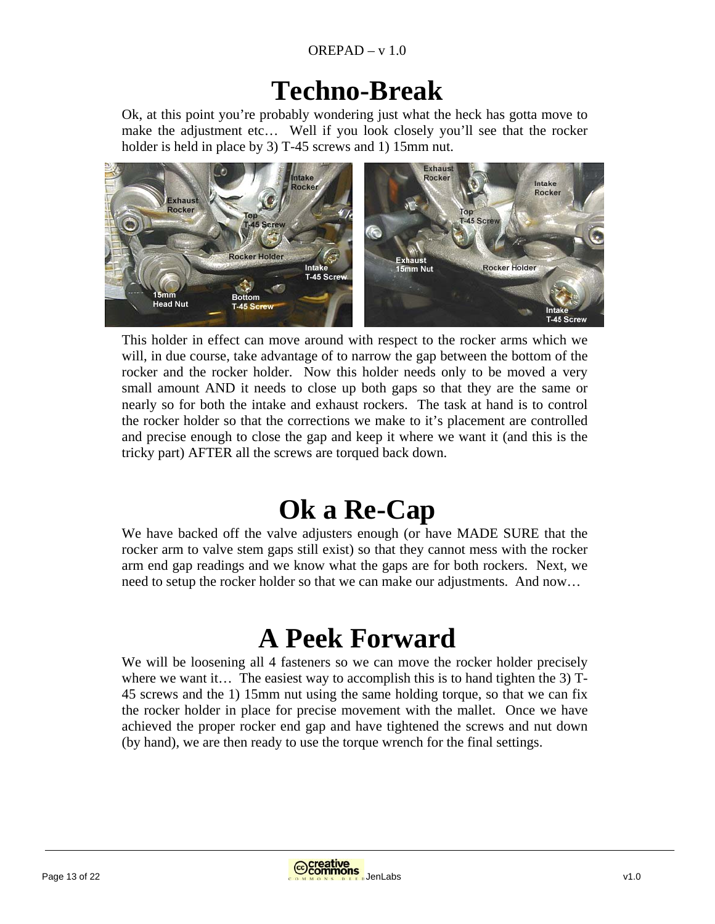# **Techno-Break**

Ok, at this point you're probably wondering just what the heck has gotta move to make the adjustment etc... Well if you look closely you'll see that the rocker holder is held in place by 3) T-45 screws and 1) 15mm nut.



This holder in effect can move around with respect to the rocker arms which we will, in due course, take advantage of to narrow the gap between the bottom of the rocker and the rocker holder. Now this holder needs only to be moved a very small amount AND it needs to close up both gaps so that they are the same or nearly so for both the intake and exhaust rockers. The task at hand is to control the rocker holder so that the corrections we make to it's placement are controlled and precise enough to close the gap and keep it where we want it (and this is the tricky part) AFTER all the screws are torqued back down.

# **Ok a Re-Cap**

We have backed off the valve adjusters enough (or have MADE SURE that the rocker arm to valve stem gaps still exist) so that they cannot mess with the rocker arm end gap readings and we know what the gaps are for both rockers. Next, we need to setup the rocker holder so that we can make our adjustments. And now…

# **A Peek Forward**

We will be loosening all 4 fasteners so we can move the rocker holder precisely where we want it… The easiest way to accomplish this is to hand tighten the 3)  $T$ -45 screws and the 1) 15mm nut using the same holding torque, so that we can fix the rocker holder in place for precise movement with the mallet. Once we have achieved the proper rocker end gap and have tightened the screws and nut down (by hand), we are then ready to use the torque wrench for the final settings.

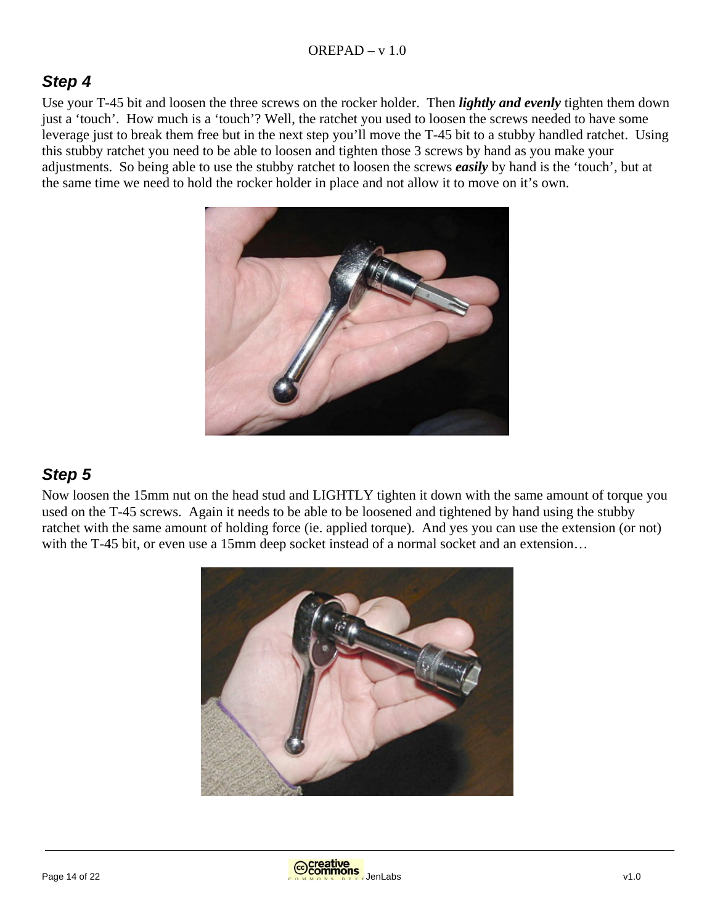# *Step 4*

Use your T-45 bit and loosen the three screws on the rocker holder. Then *lightly and evenly* tighten them down just a 'touch'. How much is a 'touch'? Well, the ratchet you used to loosen the screws needed to have some leverage just to break them free but in the next step you'll move the T-45 bit to a stubby handled ratchet. Using this stubby ratchet you need to be able to loosen and tighten those 3 screws by hand as you make your adjustments. So being able to use the stubby ratchet to loosen the screws *easily* by hand is the 'touch', but at the same time we need to hold the rocker holder in place and not allow it to move on it's own.



# *Step 5*

Now loosen the 15mm nut on the head stud and LIGHTLY tighten it down with the same amount of torque you used on the T-45 screws. Again it needs to be able to be loosened and tightened by hand using the stubby ratchet with the same amount of holding force (ie. applied torque). And yes you can use the extension (or not) with the T-45 bit, or even use a 15mm deep socket instead of a normal socket and an extension...

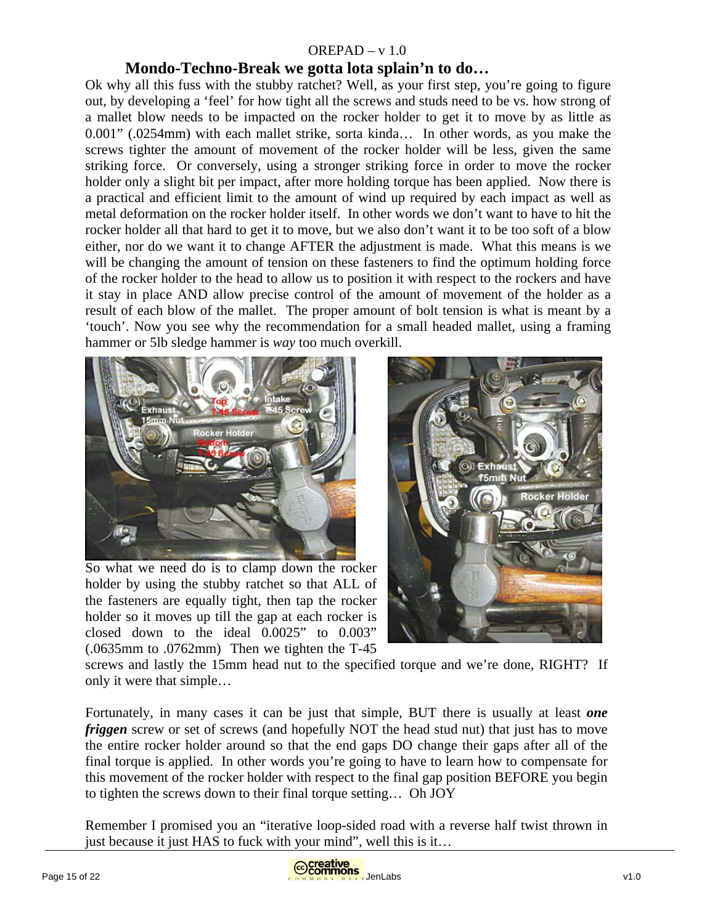#### **Mondo-Techno-Break we gotta lota splain'n to do…**

Ok why all this fuss with the stubby ratchet? Well, as your first step, you're going to figure out, by developing a 'feel' for how tight all the screws and studs need to be vs. how strong of a mallet blow needs to be impacted on the rocker holder to get it to move by as little as 0.001" (.0254mm) with each mallet strike, sorta kinda… In other words, as you make the screws tighter the amount of movement of the rocker holder will be less, given the same striking force. Or conversely, using a stronger striking force in order to move the rocker holder only a slight bit per impact, after more holding torque has been applied. Now there is a practical and efficient limit to the amount of wind up required by each impact as well as metal deformation on the rocker holder itself. In other words we don't want to have to hit the rocker holder all that hard to get it to move, but we also don't want it to be too soft of a blow either, nor do we want it to change AFTER the adjustment is made. What this means is we will be changing the amount of tension on these fasteners to find the optimum holding force of the rocker holder to the head to allow us to position it with respect to the rockers and have it stay in place AND allow precise control of the amount of movement of the holder as a result of each blow of the mallet. The proper amount of bolt tension is what is meant by a 'touch'. Now you see why the recommendation for a small headed mallet, using a framing hammer or 5lb sledge hammer is *way* too much overkill.



So what we need do is to clamp down the rocker holder by using the stubby ratchet so that ALL of the fasteners are equally tight, then tap the rocker holder so it moves up till the gap at each rocker is closed down to the ideal 0.0025" to 0.003" (.0635mm to .0762mm) Then we tighten the T-45



screws and lastly the 15mm head nut to the specified torque and we're done, RIGHT? If only it were that simple…

Fortunately, in many cases it can be just that simple, BUT there is usually at least *one friggen* screw or set of screws (and hopefully NOT the head stud nut) that just has to move the entire rocker holder around so that the end gaps DO change their gaps after all of the final torque is applied. In other words you're going to have to learn how to compensate for this movement of the rocker holder with respect to the final gap position BEFORE you begin to tighten the screws down to their final torque setting… Oh JOY

Remember I promised you an "iterative loop-sided road with a reverse half twist thrown in just because it just HAS to fuck with your mind", well this is it…

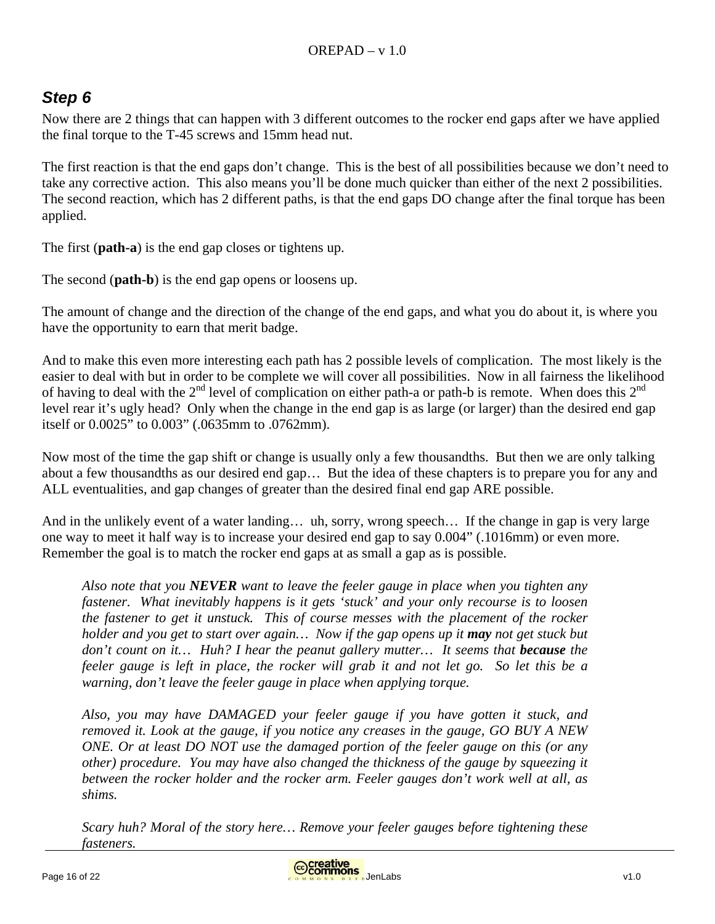# *Step 6*

Now there are 2 things that can happen with 3 different outcomes to the rocker end gaps after we have applied the final torque to the T-45 screws and 15mm head nut.

The first reaction is that the end gaps don't change. This is the best of all possibilities because we don't need to take any corrective action. This also means you'll be done much quicker than either of the next 2 possibilities. The second reaction, which has 2 different paths, is that the end gaps DO change after the final torque has been applied.

The first (**path-a**) is the end gap closes or tightens up.

The second (**path-b**) is the end gap opens or loosens up.

The amount of change and the direction of the change of the end gaps, and what you do about it, is where you have the opportunity to earn that merit badge.

And to make this even more interesting each path has 2 possible levels of complication. The most likely is the easier to deal with but in order to be complete we will cover all possibilities. Now in all fairness the likelihood of having to deal with the  $2<sup>nd</sup>$  level of complication on either path-a or path-b is remote. When does this  $2<sup>nd</sup>$ level rear it's ugly head? Only when the change in the end gap is as large (or larger) than the desired end gap itself or 0.0025" to 0.003" (.0635mm to .0762mm).

Now most of the time the gap shift or change is usually only a few thousandths. But then we are only talking about a few thousandths as our desired end gap… But the idea of these chapters is to prepare you for any and ALL eventualities, and gap changes of greater than the desired final end gap ARE possible.

And in the unlikely event of a water landing… uh, sorry, wrong speech… If the change in gap is very large one way to meet it half way is to increase your desired end gap to say 0.004" (.1016mm) or even more. Remember the goal is to match the rocker end gaps at as small a gap as is possible.

*Also note that you NEVER want to leave the feeler gauge in place when you tighten any fastener. What inevitably happens is it gets 'stuck' and your only recourse is to loosen the fastener to get it unstuck. This of course messes with the placement of the rocker holder and you get to start over again… Now if the gap opens up it may not get stuck but don't count on it...* Huh? I hear the peanut gallery mutter... It seems that **because** the *feeler gauge is left in place, the rocker will grab it and not let go. So let this be a warning, don't leave the feeler gauge in place when applying torque.* 

*Also, you may have DAMAGED your feeler gauge if you have gotten it stuck, and removed it. Look at the gauge, if you notice any creases in the gauge, GO BUY A NEW ONE. Or at least DO NOT use the damaged portion of the feeler gauge on this (or any other) procedure. You may have also changed the thickness of the gauge by squeezing it between the rocker holder and the rocker arm. Feeler gauges don't work well at all, as shims.* 

*Scary huh? Moral of the story here… Remove your feeler gauges before tightening these fasteners.* 

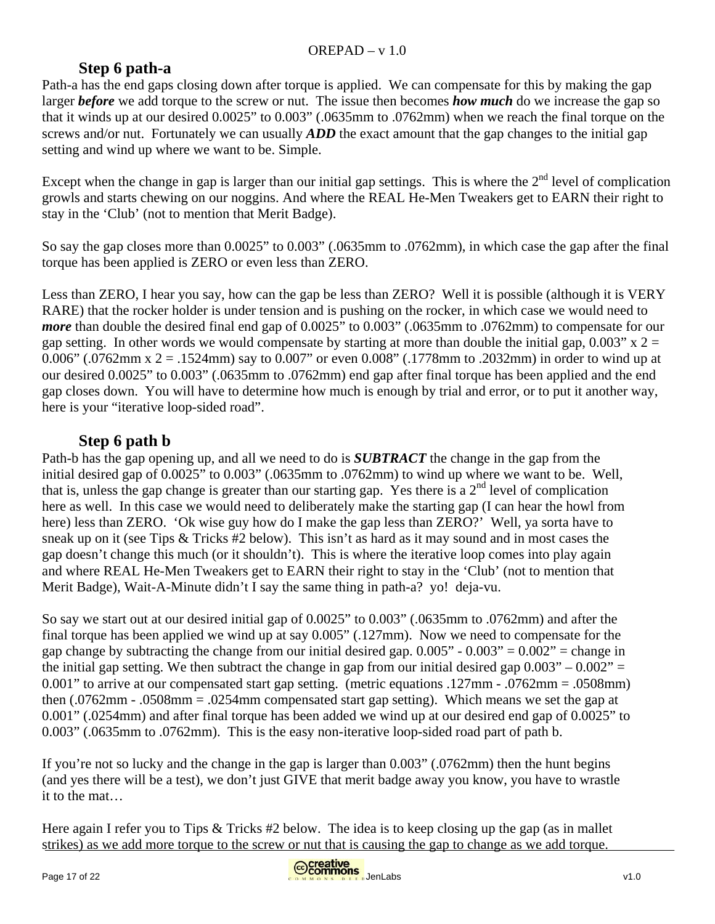## **Step 6 path-a**

Path-a has the end gaps closing down after torque is applied. We can compensate for this by making the gap larger *before* we add torque to the screw or nut. The issue then becomes *how much* do we increase the gap so that it winds up at our desired 0.0025" to 0.003" (.0635mm to .0762mm) when we reach the final torque on the screws and/or nut. Fortunately we can usually *ADD* the exact amount that the gap changes to the initial gap setting and wind up where we want to be. Simple.

Except when the change in gap is larger than our initial gap settings. This is where the  $2<sup>nd</sup>$  level of complication growls and starts chewing on our noggins. And where the REAL He-Men Tweakers get to EARN their right to stay in the 'Club' (not to mention that Merit Badge).

So say the gap closes more than 0.0025" to 0.003" (.0635mm to .0762mm), in which case the gap after the final torque has been applied is ZERO or even less than ZERO.

Less than ZERO, I hear you say, how can the gap be less than ZERO? Well it is possible (although it is VERY RARE) that the rocker holder is under tension and is pushing on the rocker, in which case we would need to *more* than double the desired final end gap of 0.0025" to 0.003" (.0635mm to .0762mm) to compensate for our gap setting. In other words we would compensate by starting at more than double the initial gap,  $0.003$ " x 2 = 0.006" (.0762mm x 2 = .1524mm) say to 0.007" or even 0.008" (.1778mm to .2032mm) in order to wind up at our desired 0.0025" to 0.003" (.0635mm to .0762mm) end gap after final torque has been applied and the end gap closes down. You will have to determine how much is enough by trial and error, or to put it another way, here is your "iterative loop-sided road".

# **Step 6 path b**

Path-b has the gap opening up, and all we need to do is *SUBTRACT* the change in the gap from the initial desired gap of 0.0025" to 0.003" (.0635mm to .0762mm) to wind up where we want to be. Well, that is, unless the gap change is greater than our starting gap. Yes there is a  $2<sup>nd</sup>$  level of complication here as well. In this case we would need to deliberately make the starting gap (I can hear the howl from here) less than ZERO. 'Ok wise guy how do I make the gap less than ZERO?' Well, ya sorta have to sneak up on it (see Tips & Tricks #2 below). This isn't as hard as it may sound and in most cases the gap doesn't change this much (or it shouldn't). This is where the iterative loop comes into play again and where REAL He-Men Tweakers get to EARN their right to stay in the 'Club' (not to mention that Merit Badge), Wait-A-Minute didn't I say the same thing in path-a? yo! deja-vu.

So say we start out at our desired initial gap of 0.0025" to 0.003" (.0635mm to .0762mm) and after the final torque has been applied we wind up at say 0.005" (.127mm). Now we need to compensate for the gap change by subtracting the change from our initial desired gap.  $0.005" - 0.003" = 0.002" =$  change in the initial gap setting. We then subtract the change in gap from our initial desired gap  $0.003" - 0.002" =$ 0.001" to arrive at our compensated start gap setting. (metric equations .127mm - .0762mm = .0508mm) then (.0762mm - .0508mm = .0254mm compensated start gap setting). Which means we set the gap at 0.001" (.0254mm) and after final torque has been added we wind up at our desired end gap of 0.0025" to 0.003" (.0635mm to .0762mm). This is the easy non-iterative loop-sided road part of path b.

If you're not so lucky and the change in the gap is larger than 0.003" (.0762mm) then the hunt begins (and yes there will be a test), we don't just GIVE that merit badge away you know, you have to wrastle it to the mat…

Here again I refer you to Tips & Tricks #2 below. The idea is to keep closing up the gap (as in mallet strikes) as we add more torque to the screw or nut that is causing the gap to change as we add torque.

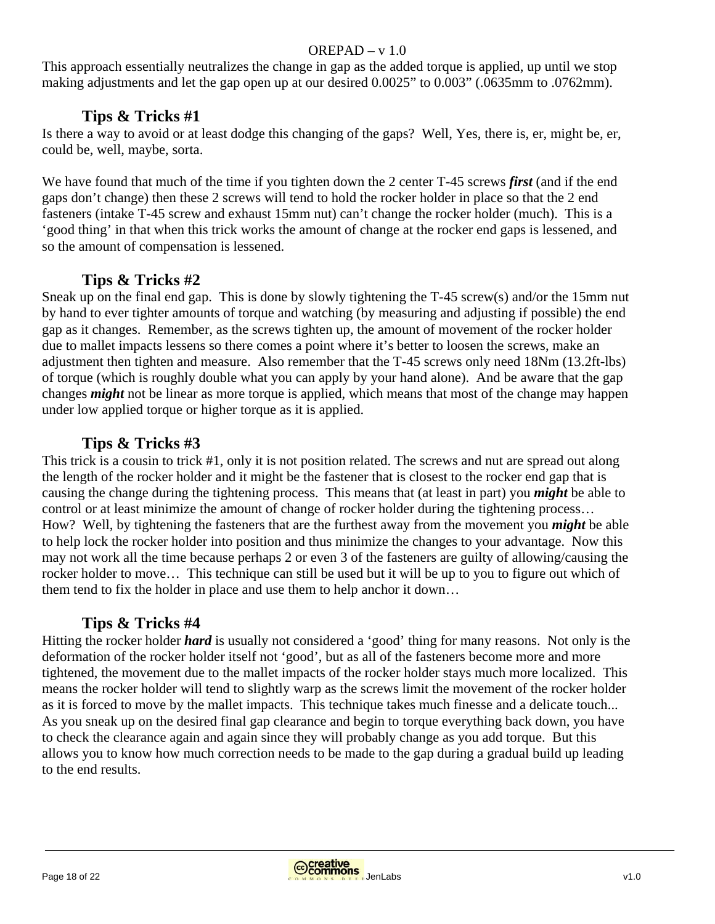This approach essentially neutralizes the change in gap as the added torque is applied, up until we stop making adjustments and let the gap open up at our desired 0.0025" to 0.003" (.0635mm to .0762mm).

## **Tips & Tricks #1**

Is there a way to avoid or at least dodge this changing of the gaps? Well, Yes, there is, er, might be, er, could be, well, maybe, sorta.

We have found that much of the time if you tighten down the 2 center T-45 screws *first* (and if the end gaps don't change) then these 2 screws will tend to hold the rocker holder in place so that the 2 end fasteners (intake T-45 screw and exhaust 15mm nut) can't change the rocker holder (much). This is a 'good thing' in that when this trick works the amount of change at the rocker end gaps is lessened, and so the amount of compensation is lessened.

#### **Tips & Tricks #2**

Sneak up on the final end gap. This is done by slowly tightening the T-45 screw(s) and/or the 15mm nut by hand to ever tighter amounts of torque and watching (by measuring and adjusting if possible) the end gap as it changes. Remember, as the screws tighten up, the amount of movement of the rocker holder due to mallet impacts lessens so there comes a point where it's better to loosen the screws, make an adjustment then tighten and measure. Also remember that the T-45 screws only need 18Nm (13.2ft-lbs) of torque (which is roughly double what you can apply by your hand alone). And be aware that the gap changes *might* not be linear as more torque is applied, which means that most of the change may happen under low applied torque or higher torque as it is applied.

## **Tips & Tricks #3**

This trick is a cousin to trick #1, only it is not position related. The screws and nut are spread out along the length of the rocker holder and it might be the fastener that is closest to the rocker end gap that is causing the change during the tightening process. This means that (at least in part) you *might* be able to control or at least minimize the amount of change of rocker holder during the tightening process… How? Well, by tightening the fasteners that are the furthest away from the movement you *might* be able to help lock the rocker holder into position and thus minimize the changes to your advantage. Now this may not work all the time because perhaps 2 or even 3 of the fasteners are guilty of allowing/causing the rocker holder to move… This technique can still be used but it will be up to you to figure out which of them tend to fix the holder in place and use them to help anchor it down…

## **Tips & Tricks #4**

Hitting the rocker holder *hard* is usually not considered a 'good' thing for many reasons. Not only is the deformation of the rocker holder itself not 'good', but as all of the fasteners become more and more tightened, the movement due to the mallet impacts of the rocker holder stays much more localized. This means the rocker holder will tend to slightly warp as the screws limit the movement of the rocker holder as it is forced to move by the mallet impacts. This technique takes much finesse and a delicate touch... As you sneak up on the desired final gap clearance and begin to torque everything back down, you have to check the clearance again and again since they will probably change as you add torque. But this allows you to know how much correction needs to be made to the gap during a gradual build up leading to the end results.

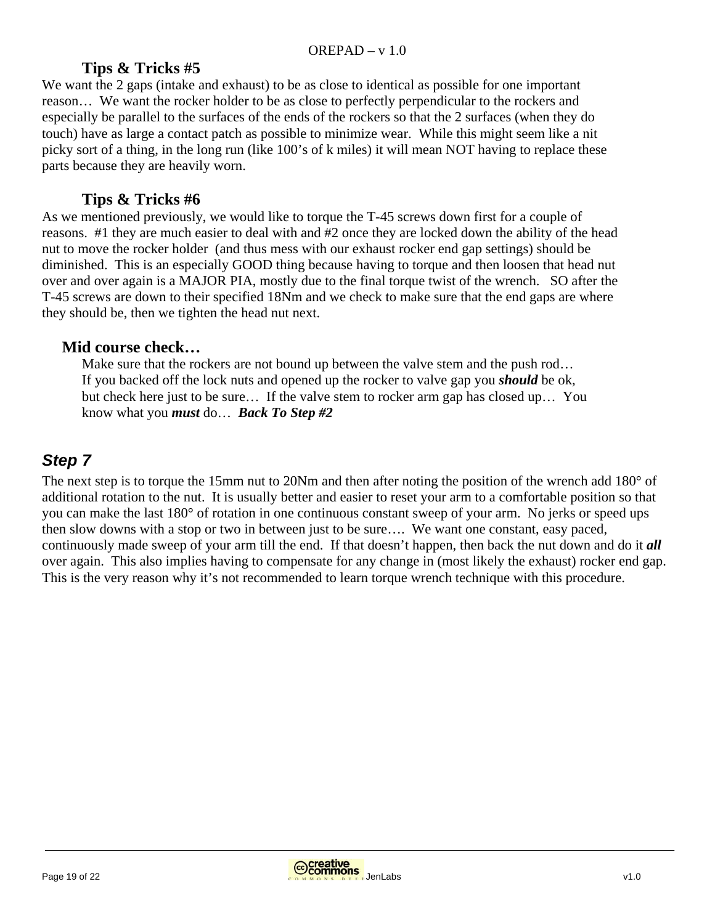#### **Tips & Tricks #5**

We want the 2 gaps (intake and exhaust) to be as close to identical as possible for one important reason… We want the rocker holder to be as close to perfectly perpendicular to the rockers and especially be parallel to the surfaces of the ends of the rockers so that the 2 surfaces (when they do touch) have as large a contact patch as possible to minimize wear. While this might seem like a nit picky sort of a thing, in the long run (like 100's of k miles) it will mean NOT having to replace these parts because they are heavily worn.

#### **Tips & Tricks #6**

As we mentioned previously, we would like to torque the T-45 screws down first for a couple of reasons. #1 they are much easier to deal with and #2 once they are locked down the ability of the head nut to move the rocker holder (and thus mess with our exhaust rocker end gap settings) should be diminished. This is an especially GOOD thing because having to torque and then loosen that head nut over and over again is a MAJOR PIA, mostly due to the final torque twist of the wrench. SO after the T-45 screws are down to their specified 18Nm and we check to make sure that the end gaps are where they should be, then we tighten the head nut next.

#### **Mid course check…**

Make sure that the rockers are not bound up between the valve stem and the push rod... If you backed off the lock nuts and opened up the rocker to valve gap you *should* be ok, but check here just to be sure… If the valve stem to rocker arm gap has closed up… You know what you *must* do… *Back To Step #2* 

# *Step 7*

The next step is to torque the 15mm nut to 20Nm and then after noting the position of the wrench add 180° of additional rotation to the nut. It is usually better and easier to reset your arm to a comfortable position so that you can make the last 180° of rotation in one continuous constant sweep of your arm. No jerks or speed ups then slow downs with a stop or two in between just to be sure…. We want one constant, easy paced, continuously made sweep of your arm till the end. If that doesn't happen, then back the nut down and do it *all* over again. This also implies having to compensate for any change in (most likely the exhaust) rocker end gap. This is the very reason why it's not recommended to learn torque wrench technique with this procedure.

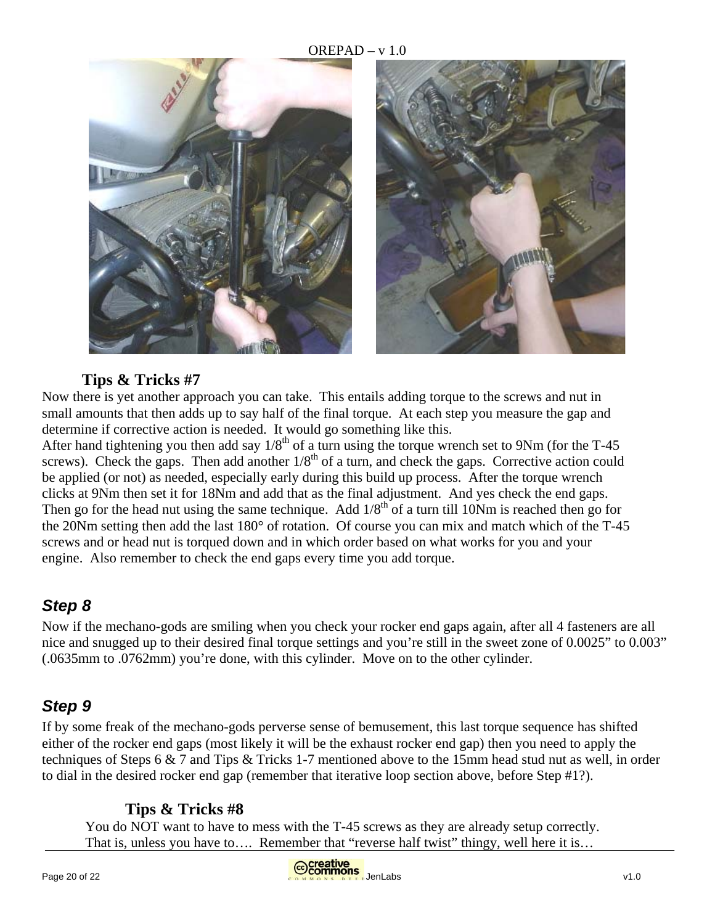

## **Tips & Tricks #7**

Now there is yet another approach you can take. This entails adding torque to the screws and nut in small amounts that then adds up to say half of the final torque. At each step you measure the gap and determine if corrective action is needed. It would go something like this.

After hand tightening you then add say  $1/8^{th}$  of a turn using the torque wrench set to 9Nm (for the T-45 screws). Check the gaps. Then add another  $1/8<sup>th</sup>$  of a turn, and check the gaps. Corrective action could be applied (or not) as needed, especially early during this build up process. After the torque wrench clicks at 9Nm then set it for 18Nm and add that as the final adjustment. And yes check the end gaps. Then go for the head nut using the same technique. Add  $1/8^{th}$  of a turn till 10Nm is reached then go for the 20Nm setting then add the last 180° of rotation. Of course you can mix and match which of the T-45 screws and or head nut is torqued down and in which order based on what works for you and your engine. Also remember to check the end gaps every time you add torque.

# *Step 8*

Now if the mechano-gods are smiling when you check your rocker end gaps again, after all 4 fasteners are all nice and snugged up to their desired final torque settings and you're still in the sweet zone of 0.0025" to 0.003" (.0635mm to .0762mm) you're done, with this cylinder. Move on to the other cylinder.

# *Step 9*

If by some freak of the mechano-gods perverse sense of bemusement, this last torque sequence has shifted either of the rocker end gaps (most likely it will be the exhaust rocker end gap) then you need to apply the techniques of Steps 6 & 7 and Tips & Tricks 1-7 mentioned above to the 15mm head stud nut as well, in order to dial in the desired rocker end gap (remember that iterative loop section above, before Step #1?).

## **Tips & Tricks #8**

You do NOT want to have to mess with the T-45 screws as they are already setup correctly. That is, unless you have to…. Remember that "reverse half twist" thingy, well here it is…



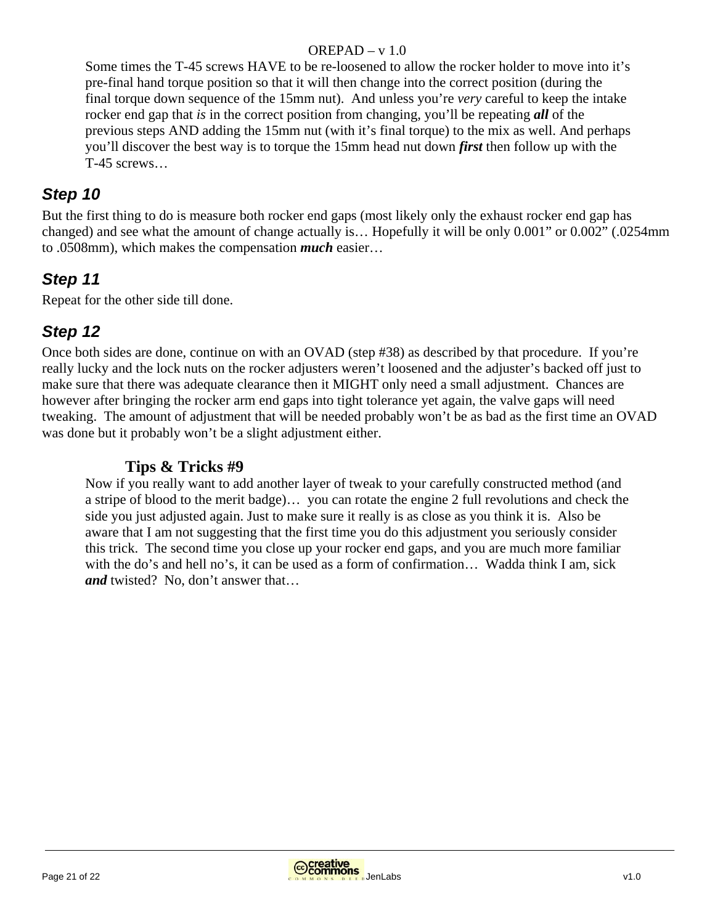Some times the T-45 screws HAVE to be re-loosened to allow the rocker holder to move into it's pre-final hand torque position so that it will then change into the correct position (during the final torque down sequence of the 15mm nut). And unless you're *very* careful to keep the intake rocker end gap that *is* in the correct position from changing, you'll be repeating *all* of the previous steps AND adding the 15mm nut (with it's final torque) to the mix as well. And perhaps you'll discover the best way is to torque the 15mm head nut down *first* then follow up with the T-45 screws…

# *Step 10*

But the first thing to do is measure both rocker end gaps (most likely only the exhaust rocker end gap has changed) and see what the amount of change actually is… Hopefully it will be only 0.001" or 0.002" (.0254mm to .0508mm), which makes the compensation *much* easier…

# *Step 11*

Repeat for the other side till done.

# *Step 12*

Once both sides are done, continue on with an OVAD (step #38) as described by that procedure. If you're really lucky and the lock nuts on the rocker adjusters weren't loosened and the adjuster's backed off just to make sure that there was adequate clearance then it MIGHT only need a small adjustment. Chances are however after bringing the rocker arm end gaps into tight tolerance yet again, the valve gaps will need tweaking. The amount of adjustment that will be needed probably won't be as bad as the first time an OVAD was done but it probably won't be a slight adjustment either.

## **Tips & Tricks #9**

Now if you really want to add another layer of tweak to your carefully constructed method (and a stripe of blood to the merit badge)… you can rotate the engine 2 full revolutions and check the side you just adjusted again. Just to make sure it really is as close as you think it is. Also be aware that I am not suggesting that the first time you do this adjustment you seriously consider this trick. The second time you close up your rocker end gaps, and you are much more familiar with the do's and hell no's, it can be used as a form of confirmation... Wadda think I am, sick *and* twisted? No, don't answer that…